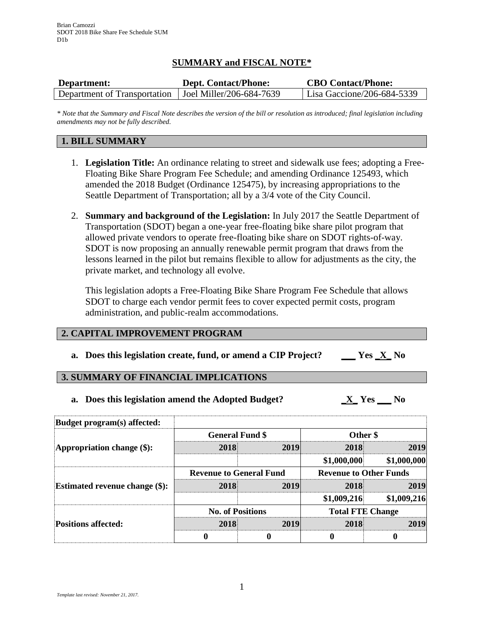# **SUMMARY and FISCAL NOTE\***

| Department:                  | <b>Dept. Contact/Phone:</b> | <b>CBO Contact/Phone:</b>  |
|------------------------------|-----------------------------|----------------------------|
| Department of Transportation | Joel Miller/206-684-7639    | Lisa Gaccione/206-684-5339 |

*\* Note that the Summary and Fiscal Note describes the version of the bill or resolution as introduced; final legislation including amendments may not be fully described.*

## **1. BILL SUMMARY**

- 1. **Legislation Title:** An ordinance relating to street and sidewalk use fees; adopting a Free-Floating Bike Share Program Fee Schedule; and amending Ordinance 125493, which amended the 2018 Budget (Ordinance 125475), by increasing appropriations to the Seattle Department of Transportation; all by a 3/4 vote of the City Council.
- 2. **Summary and background of the Legislation:** In July 2017 the Seattle Department of Transportation (SDOT) began a one-year free-floating bike share pilot program that allowed private vendors to operate free-floating bike share on SDOT rights-of-way. SDOT is now proposing an annually renewable permit program that draws from the lessons learned in the pilot but remains flexible to allow for adjustments as the city, the private market, and technology all evolve.

This legislation adopts a Free-Floating Bike Share Program Fee Schedule that allows SDOT to charge each vendor permit fees to cover expected permit costs, program administration, and public-realm accommodations.

### **2. CAPITAL IMPROVEMENT PROGRAM**

**a. Does this legislation create, fund, or amend a CIP Project? \_\_\_ Yes \_X\_ No**

### **3. SUMMARY OF FINANCIAL IMPLICATIONS**

**a. Does this legislation amend the Adopted Budget? \_X\_ Yes \_\_\_ No**

| <b>Budget program(s) affected:</b>    |                                |      |                               |             |  |
|---------------------------------------|--------------------------------|------|-------------------------------|-------------|--|
|                                       | <b>General Fund \$</b>         |      | Other \$                      |             |  |
| Appropriation change $(\$)$ :         | 2018                           | 2019 | 2018                          | 2019        |  |
|                                       |                                |      | \$1,000,000                   | \$1,000,000 |  |
|                                       | <b>Revenue to General Fund</b> |      | <b>Revenue to Other Funds</b> |             |  |
| <b>Estimated revenue change (\$):</b> | 2018                           | 2019 | 2018                          | 2019        |  |
|                                       |                                |      | \$1,009,216                   | \$1,009,216 |  |
|                                       | <b>No. of Positions</b>        |      | <b>Total FTE Change</b>       |             |  |
| <b>Positions affected:</b>            | 2018                           | 2019 | 2018                          | 2019        |  |
|                                       |                                |      | 0                             | O           |  |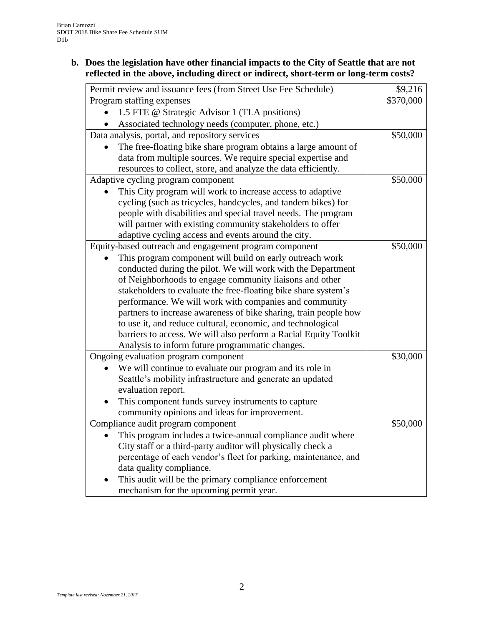# **b. Does the legislation have other financial impacts to the City of Seattle that are not reflected in the above, including direct or indirect, short-term or long-term costs?**

| Permit review and issuance fees (from Street Use Fee Schedule)   | \$9,216   |
|------------------------------------------------------------------|-----------|
| Program staffing expenses                                        | \$370,000 |
| 1.5 FTE @ Strategic Advisor 1 (TLA positions)                    |           |
| Associated technology needs (computer, phone, etc.)              |           |
| Data analysis, portal, and repository services                   | \$50,000  |
| The free-floating bike share program obtains a large amount of   |           |
| data from multiple sources. We require special expertise and     |           |
| resources to collect, store, and analyze the data efficiently.   |           |
| Adaptive cycling program component                               | \$50,000  |
| This City program will work to increase access to adaptive       |           |
| cycling (such as tricycles, handcycles, and tandem bikes) for    |           |
| people with disabilities and special travel needs. The program   |           |
| will partner with existing community stakeholders to offer       |           |
| adaptive cycling access and events around the city.              |           |
| Equity-based outreach and engagement program component           | \$50,000  |
| This program component will build on early outreach work         |           |
| conducted during the pilot. We will work with the Department     |           |
| of Neighborhoods to engage community liaisons and other          |           |
| stakeholders to evaluate the free-floating bike share system's   |           |
| performance. We will work with companies and community           |           |
| partners to increase awareness of bike sharing, train people how |           |
| to use it, and reduce cultural, economic, and technological      |           |
| barriers to access. We will also perform a Racial Equity Toolkit |           |
| Analysis to inform future programmatic changes.                  |           |
| Ongoing evaluation program component                             | \$30,000  |
| We will continue to evaluate our program and its role in         |           |
| Seattle's mobility infrastructure and generate an updated        |           |
| evaluation report.                                               |           |
| This component funds survey instruments to capture               |           |
| community opinions and ideas for improvement.                    |           |
| Compliance audit program component                               | \$50,000  |
| This program includes a twice-annual compliance audit where      |           |
| City staff or a third-party auditor will physically check a      |           |
| percentage of each vendor's fleet for parking, maintenance, and  |           |
| data quality compliance.                                         |           |
| This audit will be the primary compliance enforcement            |           |
| mechanism for the upcoming permit year.                          |           |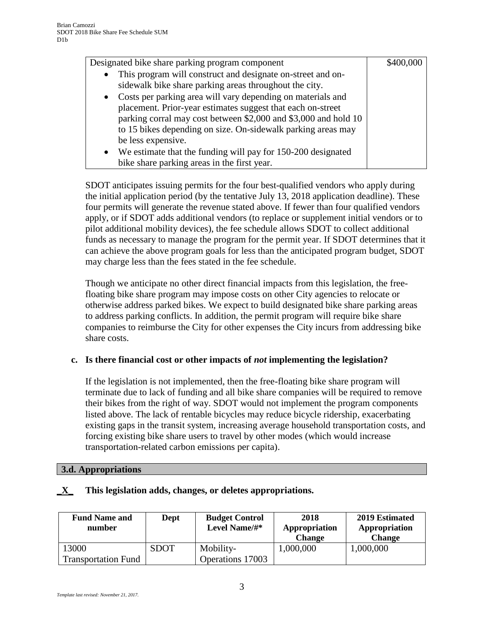| Designated bike share parking program component                          |  |
|--------------------------------------------------------------------------|--|
| This program will construct and designate on-street and on-<br>$\bullet$ |  |
| sidewalk bike share parking areas throughout the city.                   |  |
| Costs per parking area will vary depending on materials and<br>$\bullet$ |  |
| placement. Prior-year estimates suggest that each on-street              |  |
| parking corral may cost between \$2,000 and \$3,000 and hold 10          |  |
| to 15 bikes depending on size. On-sidewalk parking areas may             |  |
| be less expensive.                                                       |  |
| • We estimate that the funding will pay for 150-200 designated           |  |
| bike share parking areas in the first year.                              |  |

SDOT anticipates issuing permits for the four best-qualified vendors who apply during the initial application period (by the tentative July 13, 2018 application deadline). These four permits will generate the revenue stated above. If fewer than four qualified vendors apply, or if SDOT adds additional vendors (to replace or supplement initial vendors or to pilot additional mobility devices), the fee schedule allows SDOT to collect additional funds as necessary to manage the program for the permit year. If SDOT determines that it can achieve the above program goals for less than the anticipated program budget, SDOT may charge less than the fees stated in the fee schedule.

Though we anticipate no other direct financial impacts from this legislation, the freefloating bike share program may impose costs on other City agencies to relocate or otherwise address parked bikes. We expect to build designated bike share parking areas to address parking conflicts. In addition, the permit program will require bike share companies to reimburse the City for other expenses the City incurs from addressing bike share costs.

# **c. Is there financial cost or other impacts of** *not* **implementing the legislation?**

If the legislation is not implemented, then the free-floating bike share program will terminate due to lack of funding and all bike share companies will be required to remove their bikes from the right of way. SDOT would not implement the program components listed above. The lack of rentable bicycles may reduce bicycle ridership, exacerbating existing gaps in the transit system, increasing average household transportation costs, and forcing existing bike share users to travel by other modes (which would increase transportation-related carbon emissions per capita).

### **3.d. Appropriations**

| This legislation adds, changes, or deletes appropriations. |  |  |  |
|------------------------------------------------------------|--|--|--|
|                                                            |  |  |  |

| <b>Fund Name and</b><br>number | Dept | <b>Budget Control</b><br>Level Name/#* | 2018<br>Appropriation<br><b>Change</b> | 2019 Estimated<br>Appropriation<br><b>Change</b> |
|--------------------------------|------|----------------------------------------|----------------------------------------|--------------------------------------------------|
| 13000                          | SDOT | Mobility-                              | 1,000,000                              | 1,000,000                                        |
| <b>Transportation Fund</b>     |      | Operations 17003                       |                                        |                                                  |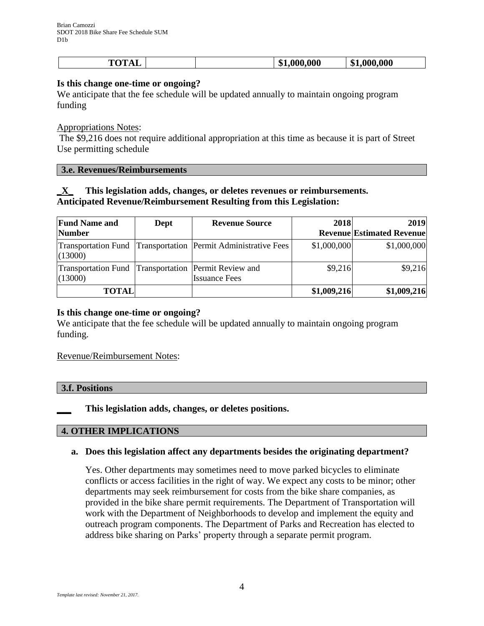| тлт<br>$\mathbf{r}$<br>$\sim$ | 000.000<br>\$1<br>w | .000.000<br>$\mathbf{a}$<br>Эħ. |
|-------------------------------|---------------------|---------------------------------|
|-------------------------------|---------------------|---------------------------------|

### **Is this change one-time or ongoing?**

We anticipate that the fee schedule will be updated annually to maintain ongoing program funding

#### Appropriations Notes:

The \$9,216 does not require additional appropriation at this time as because it is part of Street Use permitting schedule

#### **3.e. Revenues/Reimbursements**

# **\_X\_ This legislation adds, changes, or deletes revenues or reimbursements. Anticipated Revenue/Reimbursement Resulting from this Legislation:**

| <b>Fund Name and</b>                  | Dept | <b>Revenue Source</b>                                             | 2018        | 2019                             |
|---------------------------------------|------|-------------------------------------------------------------------|-------------|----------------------------------|
| <b>Number</b>                         |      |                                                                   |             | <b>Revenue Estimated Revenue</b> |
| (13000)                               |      | Transportation Fund   Transportation   Permit Administrative Fees | \$1,000,000 | \$1,000,000                      |
| <b>Transportation Fund</b><br>(13000) |      | Transportation Permit Review and<br><b>Issuance Fees</b>          | \$9,216     | \$9,216                          |
| <b>TOTAL</b>                          |      |                                                                   | \$1,009,216 | \$1,009,216                      |

### **Is this change one-time or ongoing?**

We anticipate that the fee schedule will be updated annually to maintain ongoing program funding.

#### Revenue/Reimbursement Notes:

| 3.f. Positions |  |  |
|----------------|--|--|
|                |  |  |

**\_\_\_ This legislation adds, changes, or deletes positions.**

### **4. OTHER IMPLICATIONS**

### **a. Does this legislation affect any departments besides the originating department?**

Yes. Other departments may sometimes need to move parked bicycles to eliminate conflicts or access facilities in the right of way. We expect any costs to be minor; other departments may seek reimbursement for costs from the bike share companies, as provided in the bike share permit requirements. The Department of Transportation will work with the Department of Neighborhoods to develop and implement the equity and outreach program components. The Department of Parks and Recreation has elected to address bike sharing on Parks' property through a separate permit program.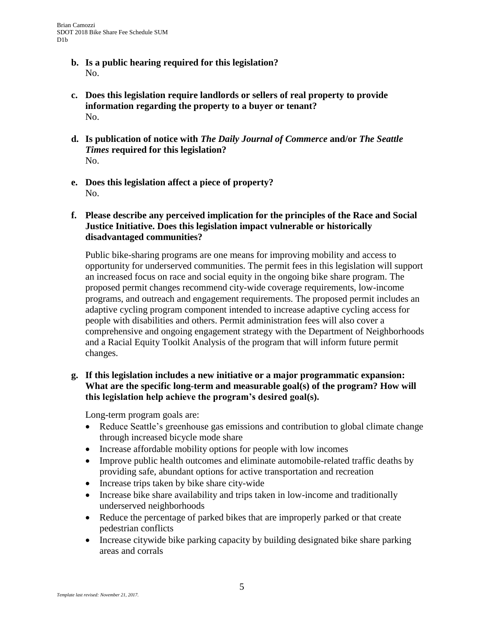- **b. Is a public hearing required for this legislation?** No.
- **c. Does this legislation require landlords or sellers of real property to provide information regarding the property to a buyer or tenant?** No.
- **d. Is publication of notice with** *The Daily Journal of Commerce* **and/or** *The Seattle Times* **required for this legislation?** No.
- **e. Does this legislation affect a piece of property?** No.
- **f. Please describe any perceived implication for the principles of the Race and Social Justice Initiative. Does this legislation impact vulnerable or historically disadvantaged communities?**

Public bike-sharing programs are one means for improving mobility and access to opportunity for underserved communities. The permit fees in this legislation will support an increased focus on race and social equity in the ongoing bike share program. The proposed permit changes recommend city-wide coverage requirements, low-income programs, and outreach and engagement requirements. The proposed permit includes an adaptive cycling program component intended to increase adaptive cycling access for people with disabilities and others. Permit administration fees will also cover a comprehensive and ongoing engagement strategy with the Department of Neighborhoods and a Racial Equity Toolkit Analysis of the program that will inform future permit changes.

## **g. If this legislation includes a new initiative or a major programmatic expansion: What are the specific long-term and measurable goal(s) of the program? How will this legislation help achieve the program's desired goal(s).**

Long-term program goals are:

- Reduce Seattle's greenhouse gas emissions and contribution to global climate change through increased bicycle mode share
- Increase affordable mobility options for people with low incomes
- Improve public health outcomes and eliminate automobile-related traffic deaths by providing safe, abundant options for active transportation and recreation
- Increase trips taken by bike share city-wide
- Increase bike share availability and trips taken in low-income and traditionally underserved neighborhoods
- Reduce the percentage of parked bikes that are improperly parked or that create pedestrian conflicts
- Increase citywide bike parking capacity by building designated bike share parking areas and corrals